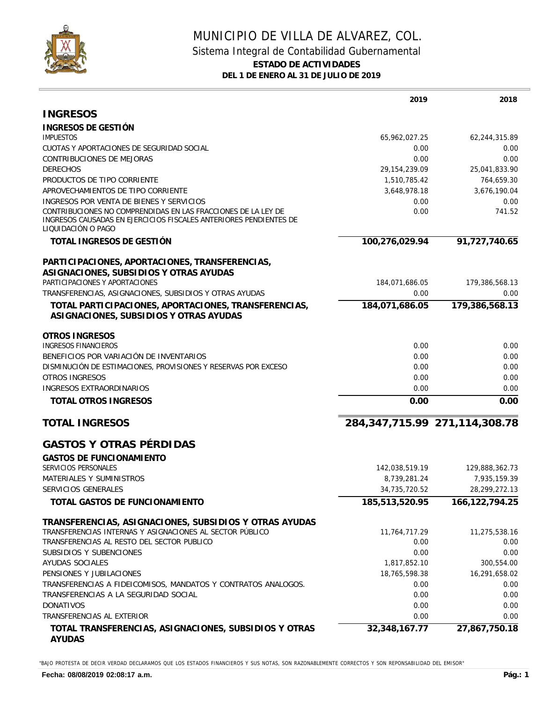

## MUNICIPIO DE VILLA DE ALVAREZ, COL. Sistema Integral de Contabilidad Gubernamental **ESTADO DE ACTIVIDADES DEL 1 DE ENERO AL 31 DE JULIO DE 2019**

|                                                                                                                                    | 2019            | 2018                              |
|------------------------------------------------------------------------------------------------------------------------------------|-----------------|-----------------------------------|
| <b>INGRESOS</b>                                                                                                                    |                 |                                   |
| INGRESOS DE GESTIÓN                                                                                                                |                 |                                   |
| <b>IMPUESTOS</b>                                                                                                                   | 65,962,027.25   | 62,244,315.89                     |
| CUOTAS Y APORTACIONES DE SEGURIDAD SOCIAL                                                                                          | 0.00            | 0.00                              |
| CONTRIBUCIONES DE MEJORAS                                                                                                          | 0.00            | 0.00                              |
| <b>DERECHOS</b>                                                                                                                    | 29, 154, 239.09 | 25,041,833.90                     |
| PRODUCTOS DE TIPO CORRIENTE                                                                                                        | 1,510,785.42    | 764,659.30                        |
| APROVECHAMIENTOS DE TIPO CORRIENTE                                                                                                 | 3,648,978.18    | 3,676,190.04                      |
| INGRESOS POR VENTA DE BIENES Y SERVICIOS                                                                                           | 0.00            | 0.00                              |
| CONTRIBUCIONES NO COMPRENDIDAS EN LAS FRACCIONES DE LA LEY DE<br>INGRESOS CAUSADAS EN EJERCICIOS FISCALES ANTERIORES PENDIENTES DE | 0.00            | 741.52                            |
| LIQUIDACIÓN O PAGO                                                                                                                 |                 |                                   |
| TOTAL INGRESOS DE GESTIÓN                                                                                                          | 100,276,029.94  | 91,727,740.65                     |
| PARTICIPACIONES, APORTACIONES, TRANSFERENCIAS,                                                                                     |                 |                                   |
| ASIGNACIONES, SUBSIDIOS Y OTRAS AYUDAS                                                                                             |                 |                                   |
| PARTICIPACIONES Y APORTACIONES                                                                                                     | 184,071,686.05  | 179,386,568.13                    |
| TRANSFERENCIAS, ASIGNACIONES, SUBSIDIOS Y OTRAS AYUDAS                                                                             | 0.00            | 0.00                              |
| TOTAL PARTICIPACIONES, APORTACIONES, TRANSFERENCIAS,                                                                               | 184,071,686.05  | 179,386,568.13                    |
| ASIGNACIONES, SUBSIDIOS Y OTRAS AYUDAS                                                                                             |                 |                                   |
| <b>OTROS INGRESOS</b>                                                                                                              |                 |                                   |
| INGRESOS FINANCIEROS                                                                                                               | 0.00            | 0.00                              |
| BENEFICIOS POR VARIACIÓN DE INVENTARIOS                                                                                            | 0.00            | 0.00                              |
| DISMINUCIÓN DE ESTIMACIONES, PROVISIONES Y RESERVAS POR EXCESO<br><b>OTROS INGRESOS</b>                                            | 0.00<br>0.00    | 0.00<br>0.00                      |
| INGRESOS EXTRAORDINARIOS                                                                                                           | 0.00            | 0.00                              |
|                                                                                                                                    |                 |                                   |
| TOTAL OTROS INGRESOS                                                                                                               | 0.00            | 0.00                              |
| <b>TOTAL INGRESOS</b>                                                                                                              |                 | 284, 347, 715.99 271, 114, 308.78 |
| <b>GASTOS Y OTRAS PÉRDIDAS</b>                                                                                                     |                 |                                   |
| <b>GASTOS DE FUNCIONAMIENTO</b>                                                                                                    |                 |                                   |
| SERVICIOS PERSONALES                                                                                                               | 142,038,519.19  | 129,888,362.73                    |
| MATERIALES Y SUMINISTROS                                                                                                           | 8,739,281.24    | 7,935,159.39                      |
| SERVICIOS GENERALES                                                                                                                | 34,735,720.52   | 28,299,272.13                     |
| TOTAL GASTOS DE FUNCIONAMIENTO                                                                                                     | 185,513,520.95  | 166, 122, 794. 25                 |
| TRANSFERENCIAS, ASIGNACIONES, SUBSIDIOS Y OTRAS AYUDAS                                                                             |                 |                                   |
| TRANSFERENCIAS INTERNAS Y ASIGNACIONES AL SECTOR PÚBLICO                                                                           | 11,764,717.29   | 11,275,538.16                     |
| TRANSFERENCIAS AL RESTO DEL SECTOR PUBLICO                                                                                         | 0.00            | 0.00                              |
| SUBSIDIOS Y SUBENCIONES                                                                                                            | 0.00            | 0.00                              |
| AYUDAS SOCIALES                                                                                                                    | 1,817,852.10    | 300,554.00                        |
| PENSIONES Y JUBILACIONES                                                                                                           | 18,765,598.38   | 16,291,658.02                     |
| TRANSFERENCIAS A FIDEICOMISOS, MANDATOS Y CONTRATOS ANALOGOS.                                                                      | 0.00            | 0.00                              |
| TRANSFERENCIAS A LA SEGURIDAD SOCIAL                                                                                               | 0.00            | 0.00                              |
| <b>DONATIVOS</b>                                                                                                                   | 0.00            | 0.00                              |
| TRANSFERENCIAS AL EXTERIOR                                                                                                         | 0.00            | 0.00                              |
| TOTAL TRANSFERENCIAS, ASIGNACIONES, SUBSIDIOS Y OTRAS                                                                              | 32,348,167.77   | 27,867,750.18                     |

"BAJO PROTESTA DE DECIR VERDAD DECLARAMOS QUE LOS ESTADOS FINANCIEROS Y SUS NOTAS, SON RAZONABLEMENTE CORRECTOS Y SON REPONSABILIDAD DEL EMISOR"

**AYUDAS**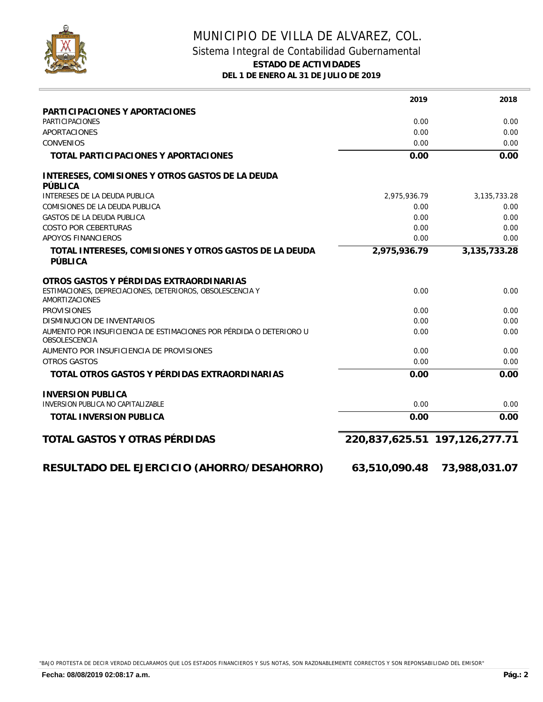

## MUNICIPIO DE VILLA DE ALVAREZ, COL. Sistema Integral de Contabilidad Gubernamental **ESTADO DE ACTIVIDADES DEL 1 DE ENERO AL 31 DE JULIO DE 2019**

|                                                                                      | 2019                          | 2018            |
|--------------------------------------------------------------------------------------|-------------------------------|-----------------|
| PARTICIPACIONES Y APORTACIONES                                                       |                               |                 |
| <b>PARTICIPACIONES</b>                                                               | 0.00                          | 0.00            |
| APORTACIONES                                                                         | 0.00                          | 0.00            |
| <b>CONVENIOS</b>                                                                     | 0.00                          | 0.00            |
| TOTAL PARTICIPACIONES Y APORTACIONES                                                 | 0.00                          | 0.00            |
| INTERESES, COMISIONES Y OTROS GASTOS DE LA DEUDA<br>PÚBLICA                          |                               |                 |
| INTERESES DE LA DEUDA PUBLICA                                                        | 2,975,936.79                  | 3, 135, 733. 28 |
| COMISIONES DE LA DEUDA PUBLICA                                                       | 0.00                          | 0.00            |
| <b>GASTOS DE LA DEUDA PUBLICA</b>                                                    | 0.00                          | 0.00            |
| <b>COSTO POR CEBERTURAS</b>                                                          | 0.00                          | 0.00            |
| APOYOS FINANCIEROS                                                                   | 0.00                          | 0.00            |
| TOTAL INTERESES, COMISIONES Y OTROS GASTOS DE LA DEUDA<br>PÚBLICA                    | 2,975,936.79                  | 3, 135, 733. 28 |
| OTROS GASTOS Y PÉRDIDAS EXTRAORDINARIAS                                              |                               |                 |
| ESTIMACIONES, DEPRECIACIONES, DETERIOROS, OBSOLESCENCIA Y<br><b>AMORTIZACIONES</b>   | 0.00                          | 0.00            |
| <b>PROVISIONES</b>                                                                   | 0.00                          | 0.00            |
| DISMINUCION DE INVENTARIOS                                                           | 0.00                          | 0.00            |
| AUMENTO POR INSUFICIENCIA DE ESTIMACIONES POR PÉRDIDA O DETERIORO U<br>OBSOLESCENCIA | 0.00                          | 0.00            |
| AUMENTO POR INSUFICIENCIA DE PROVISIONES                                             | 0.00                          | 0.00            |
| OTROS GASTOS                                                                         | 0.00                          | 0.00            |
| TOTAL OTROS GASTOS Y PÉRDIDAS EXTRAORDINARIAS                                        | 0.00                          | 0.00            |
| <b>INVERSION PUBLICA</b>                                                             |                               |                 |
| INVERSION PUBLICA NO CAPITALIZABLE                                                   | 0.00                          | 0.00            |
| TOTAL INVERSION PUBLICA                                                              | 0.00                          | 0.00            |
| TOTAL GASTOS Y OTRAS PÉRDIDAS                                                        | 220,837,625.51 197,126,277.71 |                 |
| RESULTADO DEL EJERCICIO (AHORRO/DESAHORRO)                                           | 63,510,090.48                 | 73,988,031.07   |
|                                                                                      |                               |                 |